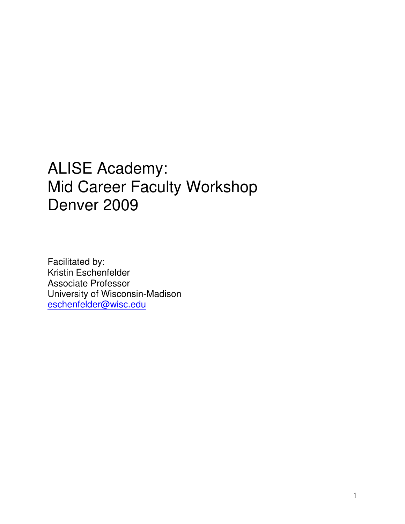# ALISE Academy: Mid Career Faculty Workshop Denver 2009

Facilitated by: Kristin Eschenfelder Associate Professor University of Wisconsin-Madison eschenfelder@wisc.edu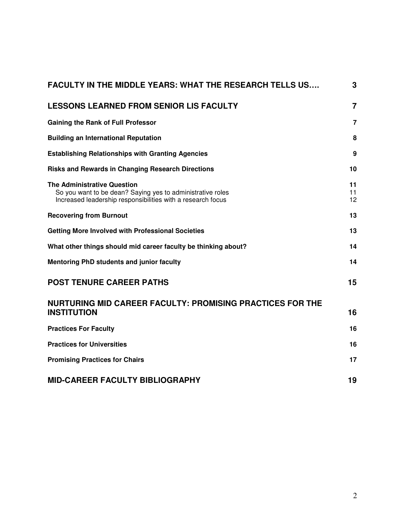| <b>FACULTY IN THE MIDDLE YEARS: WHAT THE RESEARCH TELLS US</b>                                                                                                  | 3              |
|-----------------------------------------------------------------------------------------------------------------------------------------------------------------|----------------|
| <b>LESSONS LEARNED FROM SENIOR LIS FACULTY</b>                                                                                                                  | $\overline{7}$ |
| <b>Gaining the Rank of Full Professor</b>                                                                                                                       | $\overline{7}$ |
| <b>Building an International Reputation</b>                                                                                                                     | 8              |
| <b>Establishing Relationships with Granting Agencies</b>                                                                                                        | 9              |
| <b>Risks and Rewards in Changing Research Directions</b>                                                                                                        | 10             |
| <b>The Administrative Question</b><br>So you want to be dean? Saying yes to administrative roles<br>Increased leadership responsibilities with a research focus | 11<br>11<br>12 |
| <b>Recovering from Burnout</b>                                                                                                                                  | 13             |
| <b>Getting More Involved with Professional Societies</b>                                                                                                        | 13             |
| What other things should mid career faculty be thinking about?                                                                                                  | 14             |
| Mentoring PhD students and junior faculty                                                                                                                       | 14             |
| <b>POST TENURE CAREER PATHS</b>                                                                                                                                 | 15             |
| <b>NURTURING MID CAREER FACULTY: PROMISING PRACTICES FOR THE</b><br><b>INSTITUTION</b>                                                                          | 16             |
| <b>Practices For Faculty</b>                                                                                                                                    | 16             |
| <b>Practices for Universities</b>                                                                                                                               | 16             |
| <b>Promising Practices for Chairs</b>                                                                                                                           | 17             |
| <b>MID-CAREER FACULTY BIBLIOGRAPHY</b>                                                                                                                          | 19             |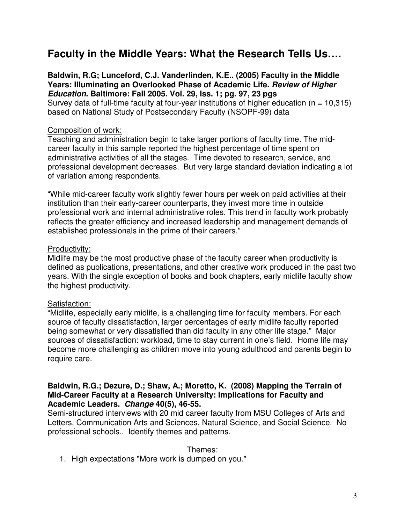# **Faculty in the Middle Years: What the Research Tells Us….**

**Baldwin, R.G; Lunceford, C.J. Vanderlinden, K.E.. (2005) Faculty in the Middle Years: Illuminating an Overlooked Phase of Academic Life. Review of Higher Education. Baltimore: Fall 2005. Vol. 29, Iss. 1; pg. 97, 23 pgs**  Survey data of full-time faculty at four-year institutions of higher education ( $n = 10,315$ ) based on National Study of Postsecondary Faculty (NSOPF-99) data

#### Composition of work:

Teaching and administration begin to take larger portions of faculty time. The midcareer faculty in this sample reported the highest percentage of time spent on administrative activities of all the stages. Time devoted to research, service, and professional development decreases. But very large standard deviation indicating a lot of variation among respondents.

"While mid-career faculty work slightly fewer hours per week on paid activities at their institution than their early-career counterparts, they invest more time in outside professional work and internal administrative roles. This trend in faculty work probably reflects the greater efficiency and increased leadership and management demands of established professionals in the prime of their careers."

#### Productivity:

Midlife may be the most productive phase of the faculty career when productivity is defined as publications, presentations, and other creative work produced in the past two years. With the single exception of books and book chapters, early midlife faculty show the highest productivity.

#### Satisfaction:

"Midlife, especially early midlife, is a challenging time for faculty members. For each source of faculty dissatisfaction, larger percentages of early midlife faculty reported being somewhat or very dissatisfied than did faculty in any other life stage." Major sources of dissatisfaction: workload, time to stay current in one's field. Home life may become more challenging as children move into young adulthood and parents begin to require care.

#### **Baldwin, R.G.; Dezure, D.; Shaw, A.; Moretto, K. (2008) Mapping the Terrain of Mid-Career Faculty at a Research University: Implications for Faculty and Academic Leaders. Change 40(5), 46-55.**

Semi-structured interviews with 20 mid career faculty from MSU Colleges of Arts and Letters, Communication Arts and Sciences, Natural Science, and Social Science. No professional schools.. Identify themes and patterns.

#### Themes:

1. High expectations "More work is dumped on you."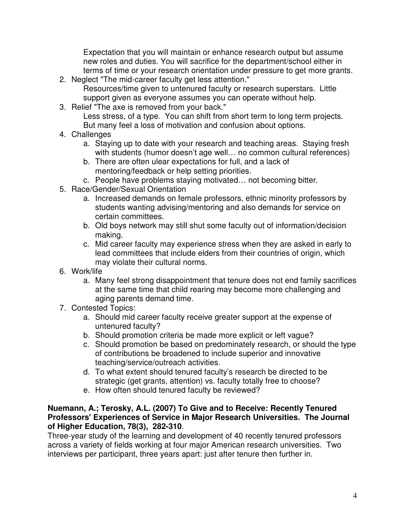Expectation that you will maintain or enhance research output but assume new roles and duties. You will sacrifice for the department/school either in terms of time or your research orientation under pressure to get more grants.

- 2. Neglect "The mid-career faculty get less attention." Resources/time given to untenured faculty or research superstars. Little support given as everyone assumes you can operate without help.
- 3. Relief "The axe is removed from your back."

Less stress, of a type. You can shift from short term to long term projects. But many feel a loss of motivation and confusion about options.

- 4. Challenges
	- a. Staying up to date with your research and teaching areas. Staying fresh with students (humor doesn't age well… no common cultural references)
	- b. There are often ulear expectations for full, and a lack of mentoring/feedback or help setting priorities.
	- c. People have problems staying motivated… not becoming bitter.
- 5. Race/Gender/Sexual Orientation
	- a. Increased demands on female professors, ethnic minority professors by students wanting advising/mentoring and also demands for service on certain committees.
	- b. Old boys network may still shut some faculty out of information/decision making.
	- c. Mid career faculty may experience stress when they are asked in early to lead committees that include elders from their countries of origin, which may violate their cultural norms.
- 6. Work/life
	- a. Many feel strong disappointment that tenure does not end family sacrifices at the same time that child rearing may become more challenging and aging parents demand time.
- 7. Contested Topics:
	- a. Should mid career faculty receive greater support at the expense of untenured faculty?
	- b. Should promotion criteria be made more explicit or left vague?
	- c. Should promotion be based on predominately research, or should the type of contributions be broadened to include superior and innovative teaching/service/outreach activities.
	- d. To what extent should tenured faculty's research be directed to be strategic (get grants, attention) vs. faculty totally free to choose?
	- e. How often should tenured faculty be reviewed?

#### **Nuemann, A.; Terosky, A.L. (2007) To Give and to Receive: Recently Tenured Professors' Experiences of Service in Major Research Universities. The Journal of Higher Education, 78(3), 282-310**.

Three-year study of the learning and development of 40 recently tenured professors across a variety of fields working at four major American research universities. Two interviews per participant, three years apart: just after tenure then further in.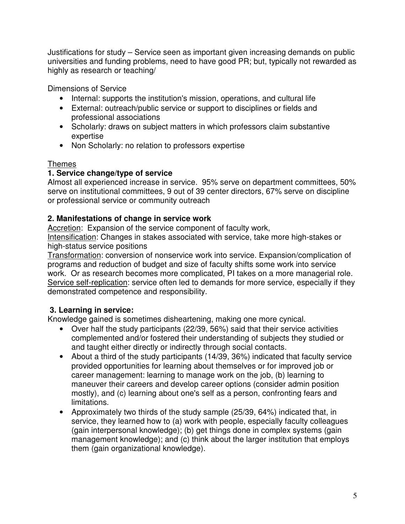Justifications for study – Service seen as important given increasing demands on public universities and funding problems, need to have good PR; but, typically not rewarded as highly as research or teaching/

Dimensions of Service

- Internal: supports the institution's mission, operations, and cultural life
- External: outreach/public service or support to disciplines or fields and professional associations
- Scholarly: draws on subject matters in which professors claim substantive expertise
- Non Scholarly: no relation to professors expertise

### Themes

### **1. Service change/type of service**

Almost all experienced increase in service. 95% serve on department committees, 50% serve on institutional committees, 9 out of 39 center directors, 67% serve on discipline or professional service or community outreach

### **2. Manifestations of change in service work**

Accretion: Expansion of the service component of faculty work,

Intensification: Changes in stakes associated with service, take more high-stakes or high-status service positions

Transformation: conversion of nonservice work into service. Expansion/complication of programs and reduction of budget and size of faculty shifts some work into service work. Or as research becomes more complicated, PI takes on a more managerial role. Service self-replication: service often led to demands for more service, especially if they demonstrated competence and responsibility.

### **3. Learning in service:**

Knowledge gained is sometimes disheartening, making one more cynical.

- Over half the study participants (22/39, 56%) said that their service activities complemented and/or fostered their understanding of subjects they studied or and taught either directly or indirectly through social contacts.
- About a third of the study participants (14/39, 36%) indicated that faculty service provided opportunities for learning about themselves or for improved job or career management: learning to manage work on the job, (b) learning to maneuver their careers and develop career options (consider admin position mostly), and (c) learning about one's self as a person, confronting fears and limitations.
- Approximately two thirds of the study sample (25/39, 64%) indicated that, in service, they learned how to (a) work with people, especially faculty colleagues (gain interpersonal knowledge); (b) get things done in complex systems (gain management knowledge); and (c) think about the larger institution that employs them (gain organizational knowledge).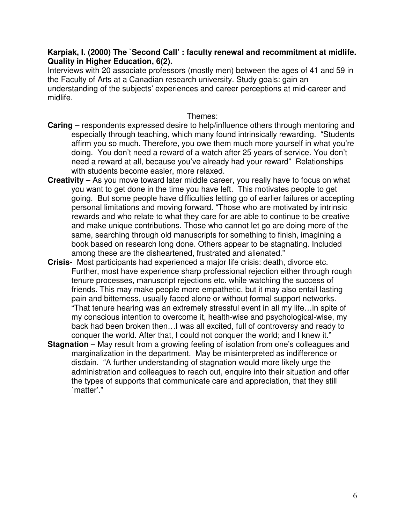#### **Karpiak, I. (2000) The `Second Call' : faculty renewal and recommitment at midlife. Quality in Higher Education, 6(2).**

Interviews with 20 associate professors (mostly men) between the ages of 41 and 59 in the Faculty of Arts at a Canadian research university. Study goals: gain an understanding of the subjects' experiences and career perceptions at mid-career and midlife.

Themes:

- **Caring** respondents expressed desire to help/influence others through mentoring and especially through teaching, which many found intrinsically rewarding. "Students affirm you so much. Therefore, you owe them much more yourself in what you're doing. You don't need a reward of a watch after 25 years of service. You don't need a reward at all, because you've already had your reward" Relationships with students become easier, more relaxed.
- **Creativity** As you move toward later middle career, you really have to focus on what you want to get done in the time you have left. This motivates people to get going. But some people have difficulties letting go of earlier failures or accepting personal limitations and moving forward. "Those who are motivated by intrinsic rewards and who relate to what they care for are able to continue to be creative and make unique contributions. Those who cannot let go are doing more of the same, searching through old manuscripts for something to finish, imagining a book based on research long done. Others appear to be stagnating. Included among these are the disheartened, frustrated and alienated."
- **Crisis** Most participants had experienced a major life crisis: death, divorce etc. Further, most have experience sharp professional rejection either through rough tenure processes, manuscript rejections etc. while watching the success of friends. This may make people more empathetic, but it may also entail lasting pain and bitterness, usually faced alone or without formal support networks. "That tenure hearing was an extremely stressful event in all my life…in spite of my conscious intention to overcome it, health-wise and psychological-wise, my back had been broken then…I was all excited, full of controversy and ready to conquer the world. After that, I could not conquer the world; and I knew it."
- **Stagnation** May result from a growing feeling of isolation from one's colleagues and marginalization in the department. May be misinterpreted as indifference or disdain. "A further understanding of stagnation would more likely urge the administration and colleagues to reach out, enquire into their situation and offer the types of supports that communicate care and appreciation, that they still `matter'."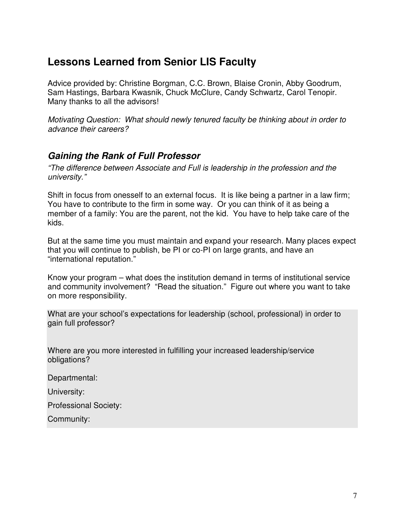# **Lessons Learned from Senior LIS Faculty**

Advice provided by: Christine Borgman, C.C. Brown, Blaise Cronin, Abby Goodrum, Sam Hastings, Barbara Kwasnik, Chuck McClure, Candy Schwartz, Carol Tenopir. Many thanks to all the advisors!

Motivating Question: What should newly tenured faculty be thinking about in order to advance their careers?

### **Gaining the Rank of Full Professor**

"The difference between Associate and Full is leadership in the profession and the university."

Shift in focus from onesself to an external focus. It is like being a partner in a law firm; You have to contribute to the firm in some way. Or you can think of it as being a member of a family: You are the parent, not the kid. You have to help take care of the kids.

But at the same time you must maintain and expand your research. Many places expect that you will continue to publish, be PI or co-PI on large grants, and have an "international reputation."

Know your program – what does the institution demand in terms of institutional service and community involvement? "Read the situation." Figure out where you want to take on more responsibility.

What are your school's expectations for leadership (school, professional) in order to gain full professor?

Where are you more interested in fulfilling your increased leadership/service obligations?

Departmental:

University:

Professional Society:

Community: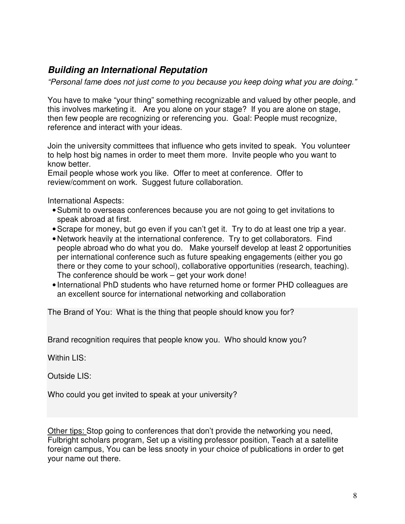### **Building an International Reputation**

"Personal fame does not just come to you because you keep doing what you are doing."

You have to make "your thing" something recognizable and valued by other people, and this involves marketing it. Are you alone on your stage? If you are alone on stage, then few people are recognizing or referencing you. Goal: People must recognize, reference and interact with your ideas.

Join the university committees that influence who gets invited to speak. You volunteer to help host big names in order to meet them more. Invite people who you want to know better.

Email people whose work you like. Offer to meet at conference. Offer to review/comment on work. Suggest future collaboration.

International Aspects:

- Submit to overseas conferences because you are not going to get invitations to speak abroad at first.
- Scrape for money, but go even if you can't get it. Try to do at least one trip a year.
- Network heavily at the international conference. Try to get collaborators. Find people abroad who do what you do. Make yourself develop at least 2 opportunities per international conference such as future speaking engagements (either you go there or they come to your school), collaborative opportunities (research, teaching). The conference should be work – get your work done!
- International PhD students who have returned home or former PHD colleagues are an excellent source for international networking and collaboration

The Brand of You: What is the thing that people should know you for?

Brand recognition requires that people know you. Who should know you?

Within LIS:

Outside LIS:

Who could you get invited to speak at your university?

Other tips: Stop going to conferences that don't provide the networking you need, Fulbright scholars program, Set up a visiting professor position, Teach at a satellite foreign campus, You can be less snooty in your choice of publications in order to get your name out there.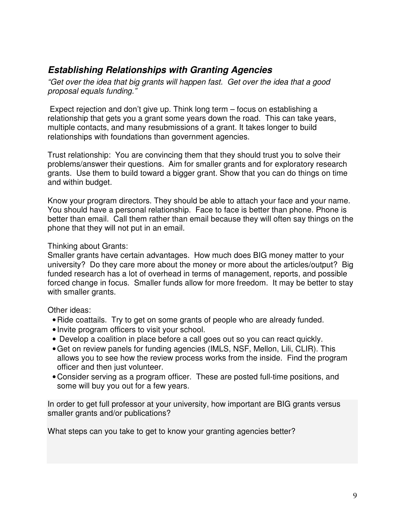### **Establishing Relationships with Granting Agencies**

"Get over the idea that big grants will happen fast. Get over the idea that a good proposal equals funding."

 Expect rejection and don't give up. Think long term – focus on establishing a relationship that gets you a grant some years down the road. This can take years, multiple contacts, and many resubmissions of a grant. It takes longer to build relationships with foundations than government agencies.

Trust relationship: You are convincing them that they should trust you to solve their problems/answer their questions. Aim for smaller grants and for exploratory research grants. Use them to build toward a bigger grant. Show that you can do things on time and within budget.

Know your program directors. They should be able to attach your face and your name. You should have a personal relationship. Face to face is better than phone. Phone is better than email. Call them rather than email because they will often say things on the phone that they will not put in an email.

#### Thinking about Grants:

Smaller grants have certain advantages. How much does BIG money matter to your university? Do they care more about the money or more about the articles/output? Big funded research has a lot of overhead in terms of management, reports, and possible forced change in focus. Smaller funds allow for more freedom. It may be better to stay with smaller grants.

#### Other ideas:

- Ride coattails. Try to get on some grants of people who are already funded.
- Invite program officers to visit your school.
- Develop a coalition in place before a call goes out so you can react quickly.
- Get on review panels for funding agencies (IMLS, NSF, Mellon, Lili, CLIR). This allows you to see how the review process works from the inside. Find the program officer and then just volunteer.
- Consider serving as a program officer. These are posted full-time positions, and some will buy you out for a few years.

In order to get full professor at your university, how important are BIG grants versus smaller grants and/or publications?

What steps can you take to get to know your granting agencies better?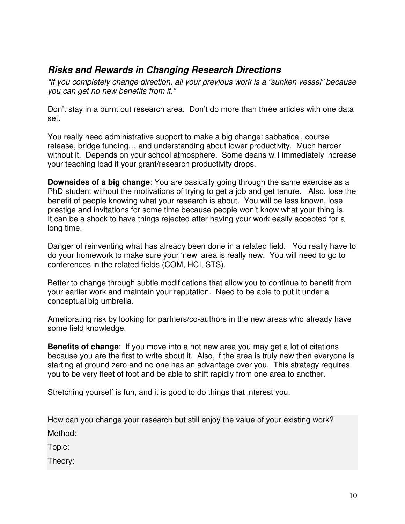### **Risks and Rewards in Changing Research Directions**

"If you completely change direction, all your previous work is a "sunken vessel" because you can get no new benefits from it."

Don't stay in a burnt out research area. Don't do more than three articles with one data set.

You really need administrative support to make a big change: sabbatical, course release, bridge funding… and understanding about lower productivity. Much harder without it. Depends on your school atmosphere. Some deans will immediately increase your teaching load if your grant/research productivity drops.

**Downsides of a big change**: You are basically going through the same exercise as a PhD student without the motivations of trying to get a job and get tenure. Also, lose the benefit of people knowing what your research is about. You will be less known, lose prestige and invitations for some time because people won't know what your thing is. It can be a shock to have things rejected after having your work easily accepted for a long time.

Danger of reinventing what has already been done in a related field. You really have to do your homework to make sure your 'new' area is really new. You will need to go to conferences in the related fields (COM, HCI, STS).

Better to change through subtle modifications that allow you to continue to benefit from your earlier work and maintain your reputation. Need to be able to put it under a conceptual big umbrella.

Ameliorating risk by looking for partners/co-authors in the new areas who already have some field knowledge.

**Benefits of change**: If you move into a hot new area you may get a lot of citations because you are the first to write about it. Also, if the area is truly new then everyone is starting at ground zero and no one has an advantage over you. This strategy requires you to be very fleet of foot and be able to shift rapidly from one area to another.

Stretching yourself is fun, and it is good to do things that interest you.

How can you change your research but still enjoy the value of your existing work? Method:

Topic:

Theory: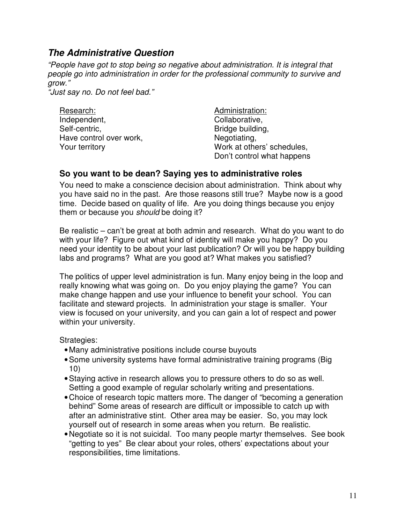### **The Administrative Question**

"People have got to stop being so negative about administration. It is integral that people go into administration in order for the professional community to survive and grow."

"Just say no. Do not feel bad."

| Research:               |
|-------------------------|
| Independent,            |
| Self-centric,           |
| Have control over work, |
| Your territory          |

Administration: Collaborative, Bridge building, Negotiating, Work at others' schedules, Don't control what happens

### **So you want to be dean? Saying yes to administrative roles**

You need to make a conscience decision about administration. Think about why you have said no in the past. Are those reasons still true? Maybe now is a good time. Decide based on quality of life. Are you doing things because you enjoy them or because you should be doing it?

Be realistic – can't be great at both admin and research. What do you want to do with your life? Figure out what kind of identity will make you happy? Do you need your identity to be about your last publication? Or will you be happy building labs and programs? What are you good at? What makes you satisfied?

The politics of upper level administration is fun. Many enjoy being in the loop and really knowing what was going on. Do you enjoy playing the game? You can make change happen and use your influence to benefit your school. You can facilitate and steward projects. In administration your stage is smaller. Your view is focused on your university, and you can gain a lot of respect and power within your university.

Strategies:

- Many administrative positions include course buyouts
- Some university systems have formal administrative training programs (Big 10)
- Staying active in research allows you to pressure others to do so as well. Setting a good example of regular scholarly writing and presentations.
- Choice of research topic matters more. The danger of "becoming a generation behind" Some areas of research are difficult or impossible to catch up with after an administrative stint. Other area may be easier. So, you may lock yourself out of research in some areas when you return. Be realistic.
- Negotiate so it is not suicidal. Too many people martyr themselves. See book "getting to yes" Be clear about your roles, others' expectations about your responsibilities, time limitations.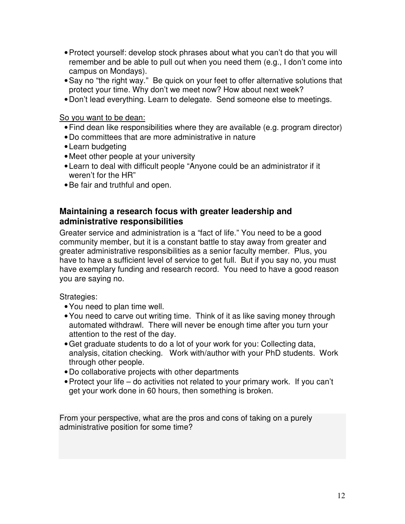- Protect yourself: develop stock phrases about what you can't do that you will remember and be able to pull out when you need them (e.g., I don't come into campus on Mondays).
- Say no "the right way." Be quick on your feet to offer alternative solutions that protect your time. Why don't we meet now? How about next week?
- Don't lead everything. Learn to delegate. Send someone else to meetings.

So you want to be dean:

- Find dean like responsibilities where they are available (e.g. program director)
- Do committees that are more administrative in nature
- Learn budgeting
- Meet other people at your university
- Learn to deal with difficult people "Anyone could be an administrator if it weren't for the HR"
- Be fair and truthful and open.

### **Maintaining a research focus with greater leadership and administrative responsibilities**

Greater service and administration is a "fact of life." You need to be a good community member, but it is a constant battle to stay away from greater and greater administrative responsibilities as a senior faculty member. Plus, you have to have a sufficient level of service to get full. But if you say no, you must have exemplary funding and research record. You need to have a good reason you are saying no.

Strategies:

- You need to plan time well.
- You need to carve out writing time. Think of it as like saving money through automated withdrawl. There will never be enough time after you turn your attention to the rest of the day.
- Get graduate students to do a lot of your work for you: Collecting data, analysis, citation checking. Work with/author with your PhD students. Work through other people.
- Do collaborative projects with other departments
- Protect your life do activities not related to your primary work. If you can't get your work done in 60 hours, then something is broken.

From your perspective, what are the pros and cons of taking on a purely administrative position for some time?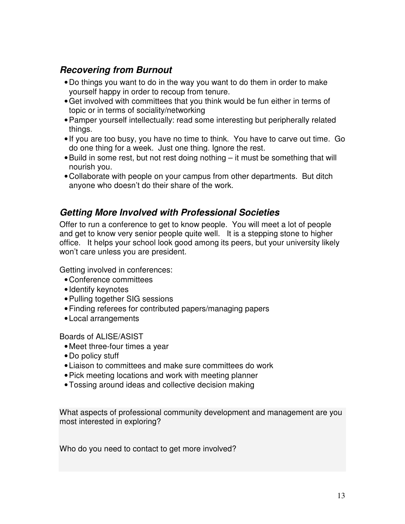### **Recovering from Burnout**

- Do things you want to do in the way you want to do them in order to make yourself happy in order to recoup from tenure.
- Get involved with committees that you think would be fun either in terms of topic or in terms of sociality/networking
- Pamper yourself intellectually: read some interesting but peripherally related things.
- If you are too busy, you have no time to think. You have to carve out time. Go do one thing for a week. Just one thing. Ignore the rest.
- Build in some rest, but not rest doing nothing it must be something that will nourish you.
- Collaborate with people on your campus from other departments. But ditch anyone who doesn't do their share of the work.

### **Getting More Involved with Professional Societies**

Offer to run a conference to get to know people. You will meet a lot of people and get to know very senior people quite well. It is a stepping stone to higher office. It helps your school look good among its peers, but your university likely won't care unless you are president.

Getting involved in conferences:

- Conference committees
- Identify keynotes
- Pulling together SIG sessions
- Finding referees for contributed papers/managing papers
- Local arrangements

Boards of ALISE/ASIST

- Meet three-four times a year
- Do policy stuff
- Liaison to committees and make sure committees do work
- Pick meeting locations and work with meeting planner
- Tossing around ideas and collective decision making

What aspects of professional community development and management are you most interested in exploring?

Who do you need to contact to get more involved?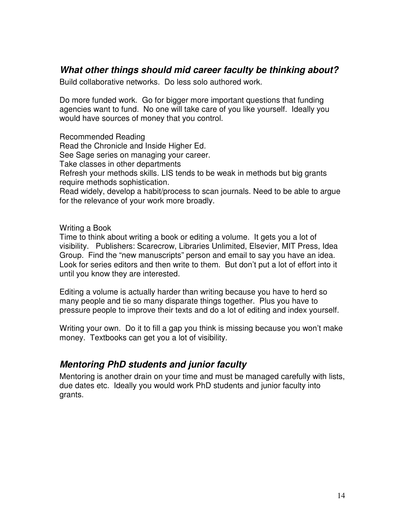### **What other things should mid career faculty be thinking about?**

Build collaborative networks. Do less solo authored work.

Do more funded work. Go for bigger more important questions that funding agencies want to fund. No one will take care of you like yourself. Ideally you would have sources of money that you control.

Recommended Reading Read the Chronicle and Inside Higher Ed. See Sage series on managing your career. Take classes in other departments Refresh your methods skills. LIS tends to be weak in methods but big grants require methods sophistication. Read widely, develop a habit/process to scan journals. Need to be able to argue for the relevance of your work more broadly.

Writing a Book

Time to think about writing a book or editing a volume. It gets you a lot of visibility. Publishers: Scarecrow, Libraries Unlimited, Elsevier, MIT Press, Idea Group. Find the "new manuscripts" person and email to say you have an idea. Look for series editors and then write to them. But don't put a lot of effort into it until you know they are interested.

Editing a volume is actually harder than writing because you have to herd so many people and tie so many disparate things together. Plus you have to pressure people to improve their texts and do a lot of editing and index yourself.

Writing your own. Do it to fill a gap you think is missing because you won't make money. Textbooks can get you a lot of visibility.

### **Mentoring PhD students and junior faculty**

Mentoring is another drain on your time and must be managed carefully with lists, due dates etc. Ideally you would work PhD students and junior faculty into grants.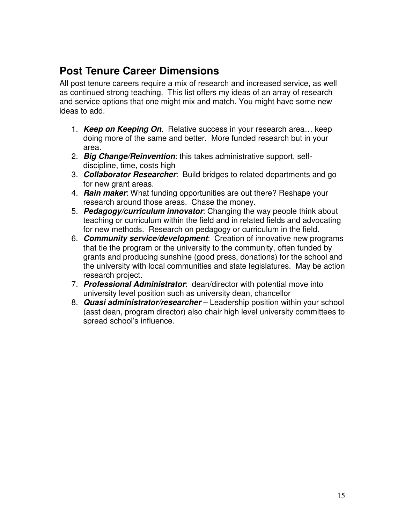# **Post Tenure Career Dimensions**

All post tenure careers require a mix of research and increased service, as well as continued strong teaching. This list offers my ideas of an array of research and service options that one might mix and match. You might have some new ideas to add.

- 1. **Keep on Keeping On**. Relative success in your research area… keep doing more of the same and better. More funded research but in your area.
- 2. **Big Change/Reinvention**: this takes administrative support, selfdiscipline, time, costs high
- 3. **Collaborator Researcher**: Build bridges to related departments and go for new grant areas.
- 4. **Rain maker**: What funding opportunities are out there? Reshape your research around those areas. Chase the money.
- 5. **Pedagogy/curriculum innovator**: Changing the way people think about teaching or curriculum within the field and in related fields and advocating for new methods. Research on pedagogy or curriculum in the field.
- 6. **Community service/development**: Creation of innovative new programs that tie the program or the university to the community, often funded by grants and producing sunshine (good press, donations) for the school and the university with local communities and state legislatures. May be action research project.
- 7. **Professional Administrator**: dean/director with potential move into university level position such as university dean, chancellor
- 8. **Quasi administrator/researcher** Leadership position within your school (asst dean, program director) also chair high level university committees to spread school's influence.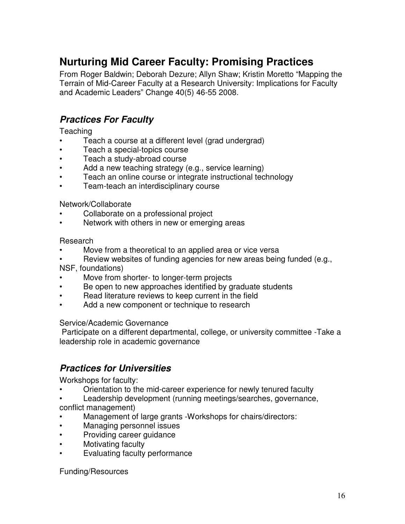# **Nurturing Mid Career Faculty: Promising Practices**

From Roger Baldwin; Deborah Dezure; Allyn Shaw; Kristin Moretto "Mapping the Terrain of Mid-Career Faculty at a Research University: Implications for Faculty and Academic Leaders" Change 40(5) 46-55 2008.

### **Practices For Faculty**

**Teaching** 

- Teach a course at a different level (grad undergrad)
- Teach a special-topics course
- Teach a study-abroad course
- Add a new teaching strategy (e.g., service learning)
- Teach an online course or integrate instructional technology
- Team-teach an interdisciplinary course

#### Network/Collaborate

- Collaborate on a professional project
- Network with others in new or emerging areas

#### Research

- Move from a theoretical to an applied area or vice versa
- Review websites of funding agencies for new areas being funded (e.g.,

NSF, foundations)

- Move from shorter- to longer-term projects
- Be open to new approaches identified by graduate students
- Read literature reviews to keep current in the field
- Add a new component or technique to research

#### Service/Academic Governance

 Participate on a different departmental, college, or university committee -Take a leadership role in academic governance

### **Practices for Universities**

Workshops for faculty:

- Orientation to the mid-career experience for newly tenured faculty
- Leadership development (running meetings/searches, governance, conflict management)
- Management of large grants -Workshops for chairs/directors:
- Managing personnel issues
- Providing career guidance
- Motivating faculty
- Evaluating faculty performance

Funding/Resources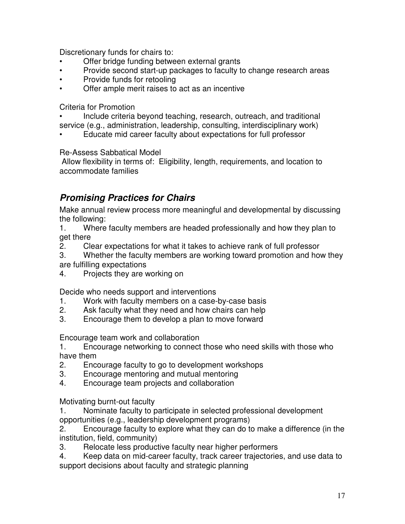Discretionary funds for chairs to:

- Offer bridge funding between external grants
- Provide second start-up packages to faculty to change research areas
- Provide funds for retooling
- Offer ample merit raises to act as an incentive

Criteria for Promotion

- Include criteria beyond teaching, research, outreach, and traditional service (e.g., administration, leadership, consulting, interdisciplinary work)
- Educate mid career faculty about expectations for full professor

### Re-Assess Sabbatical Model

 Allow flexibility in terms of: Eligibility, length, requirements, and location to accommodate families

### **Promising Practices for Chairs**

Make annual review process more meaningful and developmental by discussing the following:

1. Where faculty members are headed professionally and how they plan to get there

2. Clear expectations for what it takes to achieve rank of full professor

3. Whether the faculty members are working toward promotion and how they are fulfilling expectations

4. Projects they are working on

Decide who needs support and interventions

- 1. Work with faculty members on a case-by-case basis
- 2. Ask faculty what they need and how chairs can help
- 3. Encourage them to develop a plan to move forward

Encourage team work and collaboration

1. Encourage networking to connect those who need skills with those who have them

- 2. Encourage faculty to go to development workshops
- 3. Encourage mentoring and mutual mentoring
- 4. Encourage team projects and collaboration

Motivating burnt-out faculty

1. Nominate faculty to participate in selected professional development opportunities (e.g., leadership development programs)

2. Encourage faculty to explore what they can do to make a difference (in the institution, field, community)

- 3. Relocate less productive faculty near higher performers
- 4. Keep data on mid-career faculty, track career trajectories, and use data to support decisions about faculty and strategic planning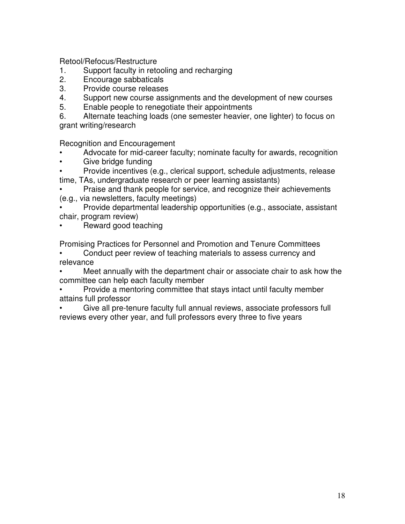Retool/Refocus/Restructure

- 1. Support faculty in retooling and recharging
- 2. Encourage sabbaticals
- 3. Provide course releases
- 4. Support new course assignments and the development of new courses
- 5. Enable people to renegotiate their appointments

6. Alternate teaching loads (one semester heavier, one lighter) to focus on grant writing/research

Recognition and Encouragement

- Advocate for mid-career faculty; nominate faculty for awards, recognition
- Give bridge funding
- Provide incentives (e.g., clerical support, schedule adjustments, release time, TAs, undergraduate research or peer learning assistants)

• Praise and thank people for service, and recognize their achievements (e.g., via newsletters, faculty meetings)

- Provide departmental leadership opportunities (e.g., associate, assistant chair, program review)
- Reward good teaching

Promising Practices for Personnel and Promotion and Tenure Committees

• Conduct peer review of teaching materials to assess currency and relevance

• Meet annually with the department chair or associate chair to ask how the committee can help each faculty member

• Provide a mentoring committee that stays intact until faculty member attains full professor

• Give all pre-tenure faculty full annual reviews, associate professors full reviews every other year, and full professors every three to five years